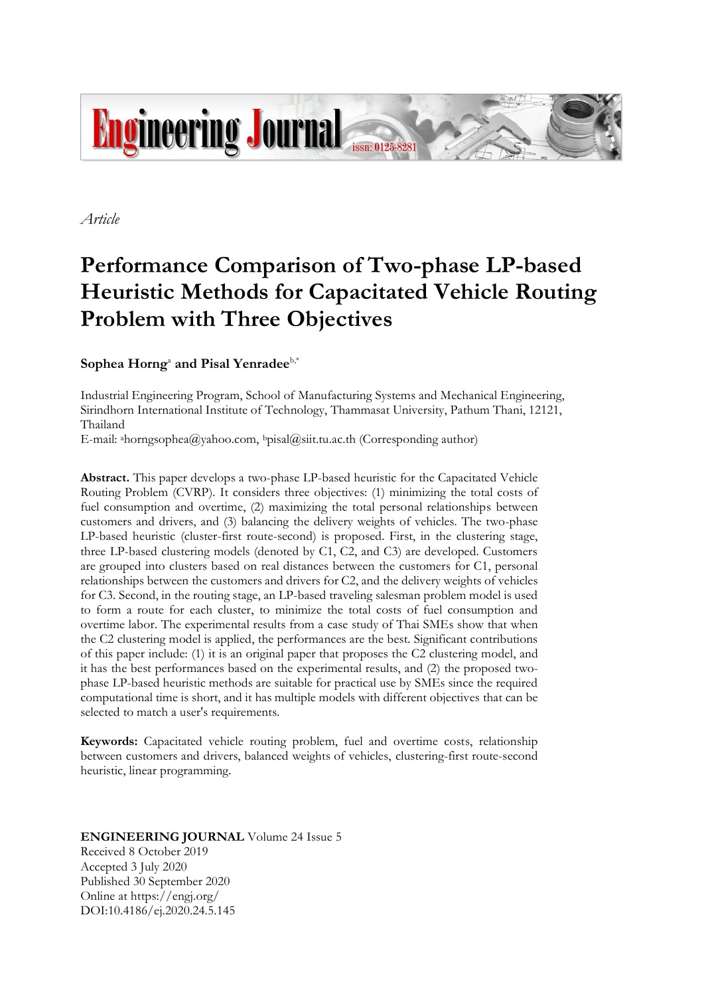

*Article*

# **Performance Comparison of Two-phase LP-based Heuristic Methods for Capacitated Vehicle Routing Problem with Three Objectives**

# Sophea Horng<sup>a</sup> and Pisal Yenradee<sup>b,\*</sup>

Industrial Engineering Program, School of Manufacturing Systems and Mechanical Engineering, Sirindhorn International Institute of Technology, Thammasat University, Pathum Thani, 12121, Thailand

E-mail: ahorngsophea@yahoo.com, bpisal@siit.tu.ac.th (Corresponding author)

**Abstract.** This paper develops a two-phase LP-based heuristic for the Capacitated Vehicle Routing Problem (CVRP). It considers three objectives: (1) minimizing the total costs of fuel consumption and overtime, (2) maximizing the total personal relationships between customers and drivers, and (3) balancing the delivery weights of vehicles. The two-phase LP-based heuristic (cluster-first route-second) is proposed. First, in the clustering stage, three LP-based clustering models (denoted by C1, C2, and C3) are developed. Customers are grouped into clusters based on real distances between the customers for C1, personal relationships between the customers and drivers for C2, and the delivery weights of vehicles for C3. Second, in the routing stage, an LP-based traveling salesman problem model is used to form a route for each cluster, to minimize the total costs of fuel consumption and overtime labor. The experimental results from a case study of Thai SMEs show that when the C2 clustering model is applied, the performances are the best. Significant contributions of this paper include: (1) it is an original paper that proposes the C2 clustering model, and it has the best performances based on the experimental results, and (2) the proposed twophase LP-based heuristic methods are suitable for practical use by SMEs since the required computational time is short, and it has multiple models with different objectives that can be selected to match a user's requirements.

**Keywords:** Capacitated vehicle routing problem, fuel and overtime costs, relationship between customers and drivers, balanced weights of vehicles, clustering-first route-second heuristic, linear programming.

## **ENGINEERING JOURNAL** Volume 24 Issue 5 Received 8 October 2019 Accepted 3 July 2020 Published 30 September 2020 Online at https://engj.org/

DOI:10.4186/ej.2020.24.5.145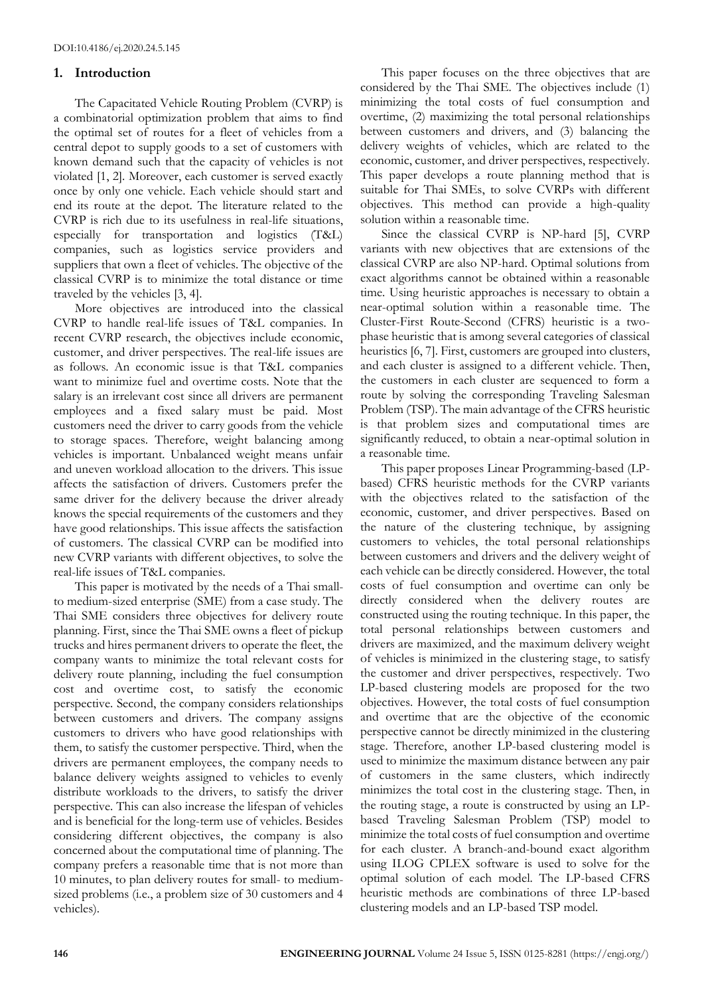## **1. Introduction**

The Capacitated Vehicle Routing Problem (CVRP) is a combinatorial optimization problem that aims to find the optimal set of routes for a fleet of vehicles from a central depot to supply goods to a set of customers with known demand such that the capacity of vehicles is not violated [1, 2]. Moreover, each customer is served exactly once by only one vehicle. Each vehicle should start and end its route at the depot. The literature related to the CVRP is rich due to its usefulness in real-life situations, especially for transportation and logistics (T&L) companies, such as logistics service providers and suppliers that own a fleet of vehicles. The objective of the classical CVRP is to minimize the total distance or time traveled by the vehicles [3, 4].

More objectives are introduced into the classical CVRP to handle real-life issues of T&L companies. In recent CVRP research, the objectives include economic, customer, and driver perspectives. The real-life issues are as follows. An economic issue is that T&L companies want to minimize fuel and overtime costs. Note that the salary is an irrelevant cost since all drivers are permanent employees and a fixed salary must be paid. Most customers need the driver to carry goods from the vehicle to storage spaces. Therefore, weight balancing among vehicles is important. Unbalanced weight means unfair and uneven workload allocation to the drivers. This issue affects the satisfaction of drivers. Customers prefer the same driver for the delivery because the driver already knows the special requirements of the customers and they have good relationships. This issue affects the satisfaction of customers. The classical CVRP can be modified into new CVRP variants with different objectives, to solve the real-life issues of T&L companies.

This paper is motivated by the needs of a Thai smallto medium-sized enterprise (SME) from a case study. The Thai SME considers three objectives for delivery route planning. First, since the Thai SME owns a fleet of pickup trucks and hires permanent drivers to operate the fleet, the company wants to minimize the total relevant costs for delivery route planning, including the fuel consumption cost and overtime cost, to satisfy the economic perspective. Second, the company considers relationships between customers and drivers. The company assigns customers to drivers who have good relationships with them, to satisfy the customer perspective. Third, when the drivers are permanent employees, the company needs to balance delivery weights assigned to vehicles to evenly distribute workloads to the drivers, to satisfy the driver perspective. This can also increase the lifespan of vehicles and is beneficial for the long-term use of vehicles. Besides considering different objectives, the company is also concerned about the computational time of planning. The company prefers a reasonable time that is not more than 10 minutes, to plan delivery routes for small- to mediumsized problems (i.e., a problem size of 30 customers and 4 vehicles).

This paper focuses on the three objectives that are considered by the Thai SME. The objectives include (1) minimizing the total costs of fuel consumption and overtime, (2) maximizing the total personal relationships between customers and drivers, and (3) balancing the delivery weights of vehicles, which are related to the economic, customer, and driver perspectives, respectively. This paper develops a route planning method that is suitable for Thai SMEs, to solve CVRPs with different objectives. This method can provide a high-quality solution within a reasonable time.

Since the classical CVRP is NP-hard [5], CVRP variants with new objectives that are extensions of the classical CVRP are also NP-hard. Optimal solutions from exact algorithms cannot be obtained within a reasonable time. Using heuristic approaches is necessary to obtain a near-optimal solution within a reasonable time. The Cluster-First Route-Second (CFRS) heuristic is a twophase heuristic that is among several categories of classical heuristics [6, 7]. First, customers are grouped into clusters, and each cluster is assigned to a different vehicle. Then, the customers in each cluster are sequenced to form a route by solving the corresponding Traveling Salesman Problem (TSP). The main advantage of the CFRS heuristic is that problem sizes and computational times are significantly reduced, to obtain a near-optimal solution in a reasonable time.

This paper proposes Linear Programming-based (LPbased) CFRS heuristic methods for the CVRP variants with the objectives related to the satisfaction of the economic, customer, and driver perspectives. Based on the nature of the clustering technique, by assigning customers to vehicles, the total personal relationships between customers and drivers and the delivery weight of each vehicle can be directly considered. However, the total costs of fuel consumption and overtime can only be directly considered when the delivery routes are constructed using the routing technique. In this paper, the total personal relationships between customers and drivers are maximized, and the maximum delivery weight of vehicles is minimized in the clustering stage, to satisfy the customer and driver perspectives, respectively. Two LP-based clustering models are proposed for the two objectives. However, the total costs of fuel consumption and overtime that are the objective of the economic perspective cannot be directly minimized in the clustering stage. Therefore, another LP-based clustering model is used to minimize the maximum distance between any pair of customers in the same clusters, which indirectly minimizes the total cost in the clustering stage. Then, in the routing stage, a route is constructed by using an LPbased Traveling Salesman Problem (TSP) model to minimize the total costs of fuel consumption and overtime for each cluster. A branch-and-bound exact algorithm using ILOG CPLEX software is used to solve for the optimal solution of each model. The LP-based CFRS heuristic methods are combinations of three LP-based clustering models and an LP-based TSP model.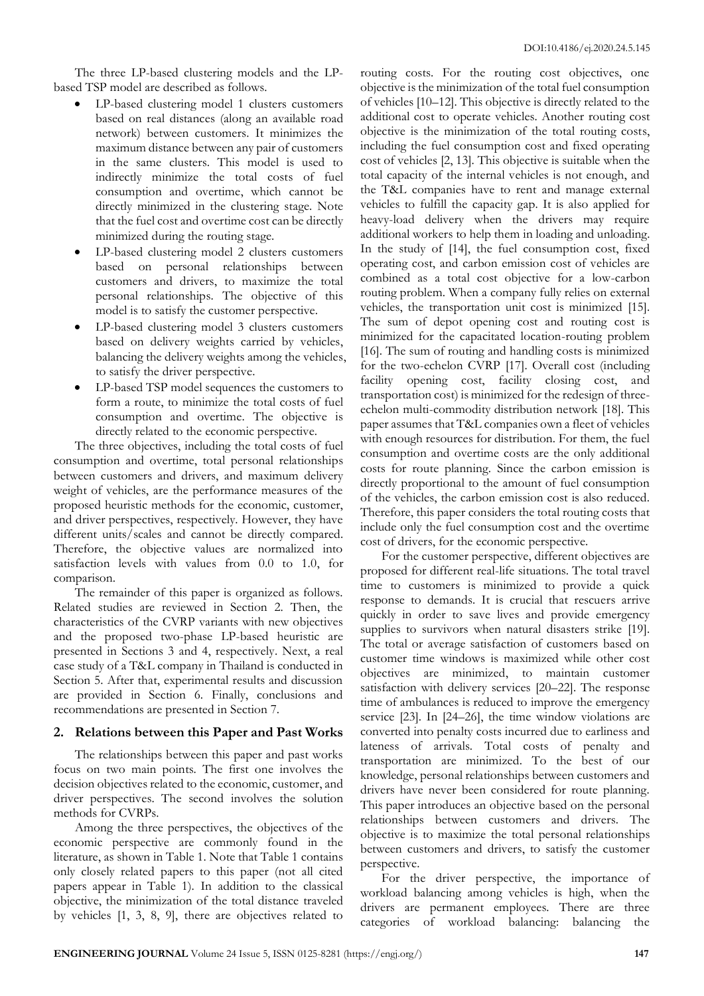The three LP-based clustering models and the LPbased TSP model are described as follows.

- LP-based clustering model 1 clusters customers based on real distances (along an available road network) between customers. It minimizes the maximum distance between any pair of customers in the same clusters. This model is used to indirectly minimize the total costs of fuel consumption and overtime, which cannot be directly minimized in the clustering stage. Note that the fuel cost and overtime cost can be directly minimized during the routing stage.
- LP-based clustering model 2 clusters customers based on personal relationships between customers and drivers, to maximize the total personal relationships. The objective of this model is to satisfy the customer perspective.
- LP-based clustering model 3 clusters customers based on delivery weights carried by vehicles, balancing the delivery weights among the vehicles, to satisfy the driver perspective.
- LP-based TSP model sequences the customers to form a route, to minimize the total costs of fuel consumption and overtime. The objective is directly related to the economic perspective.

The three objectives, including the total costs of fuel consumption and overtime, total personal relationships between customers and drivers, and maximum delivery weight of vehicles, are the performance measures of the proposed heuristic methods for the economic, customer, and driver perspectives, respectively. However, they have different units/scales and cannot be directly compared. Therefore, the objective values are normalized into satisfaction levels with values from 0.0 to 1.0, for comparison.

The remainder of this paper is organized as follows. Related studies are reviewed in Section 2. Then, the characteristics of the CVRP variants with new objectives and the proposed two-phase LP-based heuristic are presented in Sections 3 and 4, respectively. Next, a real case study of a T&L company in Thailand is conducted in Section 5. After that, experimental results and discussion are provided in Section 6. Finally, conclusions and recommendations are presented in Section 7.

# **2. Relations between this Paper and Past Works**

The relationships between this paper and past works focus on two main points. The first one involves the decision objectives related to the economic, customer, and driver perspectives. The second involves the solution methods for CVRPs.

Among the three perspectives, the objectives of the economic perspective are commonly found in the literature, as shown in Table 1. Note that Table 1 contains only closely related papers to this paper (not all cited papers appear in Table 1). In addition to the classical objective, the minimization of the total distance traveled by vehicles [1, 3, 8, 9], there are objectives related to routing costs. For the routing cost objectives, one objective is the minimization of the total fuel consumption of vehicles [10–12]. This objective is directly related to the additional cost to operate vehicles. Another routing cost objective is the minimization of the total routing costs, including the fuel consumption cost and fixed operating cost of vehicles [2, 13]. This objective is suitable when the total capacity of the internal vehicles is not enough, and the T&L companies have to rent and manage external vehicles to fulfill the capacity gap. It is also applied for heavy-load delivery when the drivers may require additional workers to help them in loading and unloading. In the study of [14], the fuel consumption cost, fixed operating cost, and carbon emission cost of vehicles are combined as a total cost objective for a low-carbon routing problem. When a company fully relies on external vehicles, the transportation unit cost is minimized [15]. The sum of depot opening cost and routing cost is minimized for the capacitated location-routing problem [16]. The sum of routing and handling costs is minimized for the two-echelon CVRP [17]. Overall cost (including facility opening cost, facility closing cost, and transportation cost) is minimized for the redesign of threeechelon multi-commodity distribution network [18]. This paper assumes that T&L companies own a fleet of vehicles with enough resources for distribution. For them, the fuel consumption and overtime costs are the only additional costs for route planning. Since the carbon emission is directly proportional to the amount of fuel consumption of the vehicles, the carbon emission cost is also reduced. Therefore, this paper considers the total routing costs that include only the fuel consumption cost and the overtime cost of drivers, for the economic perspective.

For the customer perspective, different objectives are proposed for different real-life situations. The total travel time to customers is minimized to provide a quick response to demands. It is crucial that rescuers arrive quickly in order to save lives and provide emergency supplies to survivors when natural disasters strike [19]. The total or average satisfaction of customers based on customer time windows is maximized while other cost objectives are minimized, to maintain customer satisfaction with delivery services [20–22]. The response time of ambulances is reduced to improve the emergency service [23]. In [24–26], the time window violations are converted into penalty costs incurred due to earliness and lateness of arrivals. Total costs of penalty and transportation are minimized. To the best of our knowledge, personal relationships between customers and drivers have never been considered for route planning. This paper introduces an objective based on the personal relationships between customers and drivers. The objective is to maximize the total personal relationships between customers and drivers, to satisfy the customer perspective.

For the driver perspective, the importance of workload balancing among vehicles is high, when the drivers are permanent employees. There are three categories of workload balancing: balancing the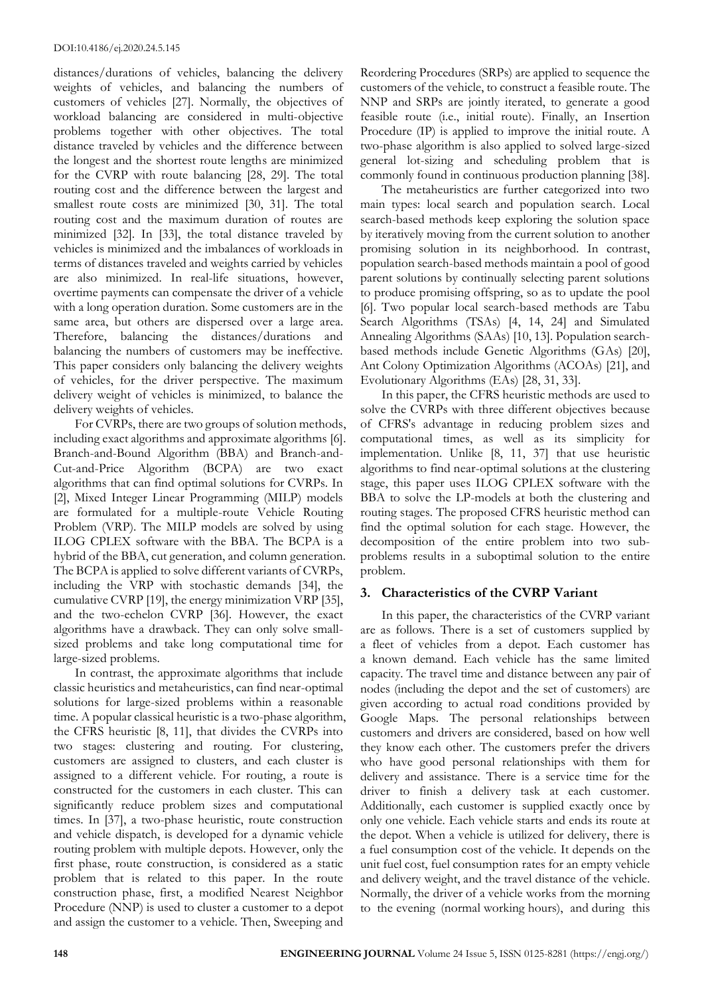distances/durations of vehicles, balancing the delivery weights of vehicles, and balancing the numbers of customers of vehicles [27]. Normally, the objectives of workload balancing are considered in multi-objective problems together with other objectives. The total distance traveled by vehicles and the difference between the longest and the shortest route lengths are minimized for the CVRP with route balancing [28, 29]. The total routing cost and the difference between the largest and smallest route costs are minimized [30, 31]. The total routing cost and the maximum duration of routes are minimized [32]. In [33], the total distance traveled by vehicles is minimized and the imbalances of workloads in terms of distances traveled and weights carried by vehicles are also minimized. In real-life situations, however, overtime payments can compensate the driver of a vehicle with a long operation duration. Some customers are in the same area, but others are dispersed over a large area. Therefore, balancing the distances/durations and balancing the numbers of customers may be ineffective. This paper considers only balancing the delivery weights of vehicles, for the driver perspective. The maximum delivery weight of vehicles is minimized, to balance the delivery weights of vehicles.

For CVRPs, there are two groups of solution methods, including exact algorithms and approximate algorithms [6]. Branch-and-Bound Algorithm (BBA) and Branch-and-Cut-and-Price Algorithm (BCPA) are two exact algorithms that can find optimal solutions for CVRPs. In [2], Mixed Integer Linear Programming (MILP) models are formulated for a multiple-route Vehicle Routing Problem (VRP). The MILP models are solved by using ILOG CPLEX software with the BBA. The BCPA is a hybrid of the BBA, cut generation, and column generation. The BCPA is applied to solve different variants of CVRPs, including the VRP with stochastic demands [34], the cumulative CVRP [19], the energy minimization VRP [35], and the two-echelon CVRP [36]. However, the exact algorithms have a drawback. They can only solve smallsized problems and take long computational time for large-sized problems.

In contrast, the approximate algorithms that include classic heuristics and metaheuristics, can find near-optimal solutions for large-sized problems within a reasonable time. A popular classical heuristic is a two-phase algorithm, the CFRS heuristic [8, 11], that divides the CVRPs into two stages: clustering and routing. For clustering, customers are assigned to clusters, and each cluster is assigned to a different vehicle. For routing, a route is constructed for the customers in each cluster. This can significantly reduce problem sizes and computational times. In [37], a two-phase heuristic, route construction and vehicle dispatch, is developed for a dynamic vehicle routing problem with multiple depots. However, only the first phase, route construction, is considered as a static problem that is related to this paper. In the route construction phase, first, a modified Nearest Neighbor Procedure (NNP) is used to cluster a customer to a depot and assign the customer to a vehicle. Then, Sweeping and

Reordering Procedures (SRPs) are applied to sequence the customers of the vehicle, to construct a feasible route. The NNP and SRPs are jointly iterated, to generate a good feasible route (i.e., initial route). Finally, an Insertion Procedure (IP) is applied to improve the initial route. A two-phase algorithm is also applied to solved large-sized general lot-sizing and scheduling problem that is commonly found in continuous production planning [38].

The metaheuristics are further categorized into two main types: local search and population search. Local search-based methods keep exploring the solution space by iteratively moving from the current solution to another promising solution in its neighborhood. In contrast, population search-based methods maintain a pool of good parent solutions by continually selecting parent solutions to produce promising offspring, so as to update the pool [6]. Two popular local search-based methods are Tabu Search Algorithms (TSAs) [4, 14, 24] and Simulated Annealing Algorithms (SAAs) [10, 13]. Population searchbased methods include Genetic Algorithms (GAs) [20], Ant Colony Optimization Algorithms (ACOAs) [21], and Evolutionary Algorithms (EAs) [28, 31, 33].

In this paper, the CFRS heuristic methods are used to solve the CVRPs with three different objectives because of CFRS's advantage in reducing problem sizes and computational times, as well as its simplicity for implementation. Unlike [8, 11, 37] that use heuristic algorithms to find near-optimal solutions at the clustering stage, this paper uses ILOG CPLEX software with the BBA to solve the LP-models at both the clustering and routing stages. The proposed CFRS heuristic method can find the optimal solution for each stage. However, the decomposition of the entire problem into two subproblems results in a suboptimal solution to the entire problem.

# **3. Characteristics of the CVRP Variant**

In this paper, the characteristics of the CVRP variant are as follows. There is a set of customers supplied by a fleet of vehicles from a depot. Each customer has a known demand. Each vehicle has the same limited capacity. The travel time and distance between any pair of nodes (including the depot and the set of customers) are given according to actual road conditions provided by Google Maps. The personal relationships between customers and drivers are considered, based on how well they know each other. The customers prefer the drivers who have good personal relationships with them for delivery and assistance. There is a service time for the driver to finish a delivery task at each customer. Additionally, each customer is supplied exactly once by only one vehicle. Each vehicle starts and ends its route at the depot. When a vehicle is utilized for delivery, there is a fuel consumption cost of the vehicle. It depends on the unit fuel cost, fuel consumption rates for an empty vehicle and delivery weight, and the travel distance of the vehicle. Normally, the driver of a vehicle works from the morning to the evening (normal working hours), and during this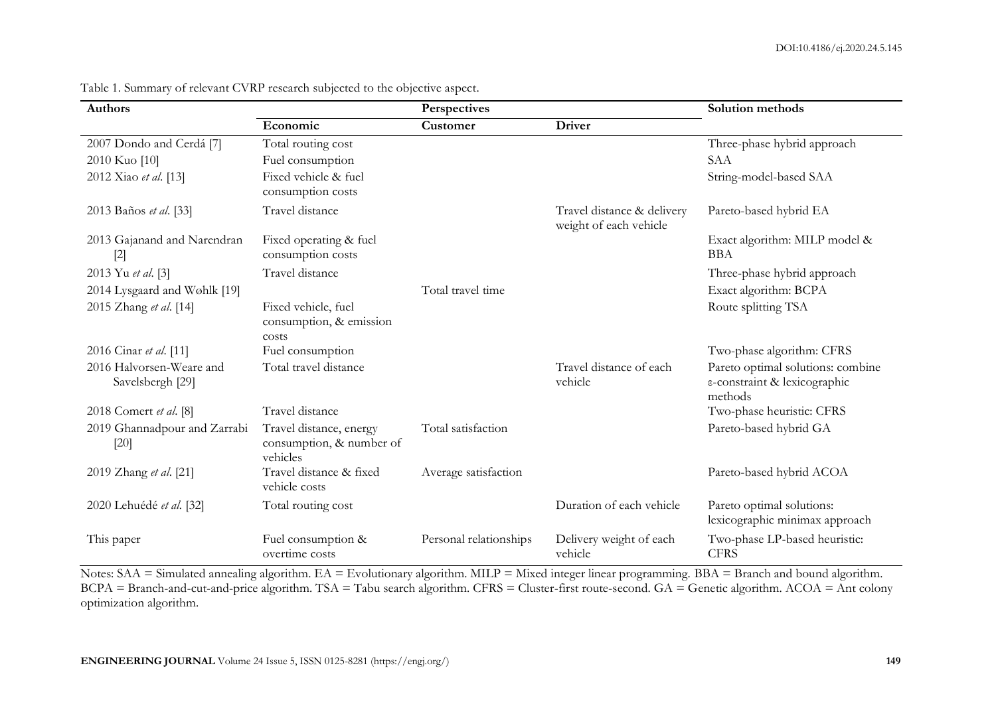| <b>Authors</b>                               |                                                                 | Perspectives           |                                                      | Solution methods                                                             |  |  |
|----------------------------------------------|-----------------------------------------------------------------|------------------------|------------------------------------------------------|------------------------------------------------------------------------------|--|--|
|                                              | Economic                                                        | Customer               | <b>Driver</b>                                        |                                                                              |  |  |
| 2007 Dondo and Cerdá [7]                     | Total routing cost                                              |                        |                                                      | Three-phase hybrid approach                                                  |  |  |
| 2010 Kuo [10]                                | Fuel consumption                                                |                        |                                                      | SAA                                                                          |  |  |
| 2012 Xiao et al. [13]                        | Fixed vehicle & fuel<br>consumption costs                       |                        |                                                      | String-model-based SAA                                                       |  |  |
| 2013 Baños et al. [33]                       | Travel distance                                                 |                        | Travel distance & delivery<br>weight of each vehicle | Pareto-based hybrid EA                                                       |  |  |
| 2013 Gajanand and Narendran<br>$[2]$         | Fixed operating & fuel<br>consumption costs                     |                        |                                                      | Exact algorithm: MILP model &<br><b>BBA</b>                                  |  |  |
| 2013 Yu et al. [3]                           | Travel distance                                                 |                        |                                                      | Three-phase hybrid approach                                                  |  |  |
| 2014 Lysgaard and Wøhlk [19]                 |                                                                 | Total travel time      |                                                      | Exact algorithm: BCPA                                                        |  |  |
| 2015 Zhang et al. [14]                       | Fixed vehicle, fuel<br>consumption, & emission<br>costs         |                        |                                                      | Route splitting TSA                                                          |  |  |
| 2016 Cinar et al. [11]                       | Fuel consumption                                                |                        |                                                      | Two-phase algorithm: CFRS                                                    |  |  |
| 2016 Halvorsen-Weare and<br>Savelsbergh [29] | Total travel distance                                           |                        | Travel distance of each<br>vehicle                   | Pareto optimal solutions: combine<br>ε-constraint & lexicographic<br>methods |  |  |
| 2018 Comert et al. [8]                       | Travel distance                                                 |                        |                                                      | Two-phase heuristic: CFRS                                                    |  |  |
| 2019 Ghannadpour and Zarrabi<br>$[20]$       | Travel distance, energy<br>consumption, & number of<br>vehicles | Total satisfaction     |                                                      | Pareto-based hybrid GA                                                       |  |  |
| 2019 Zhang et al. [21]                       | Travel distance & fixed<br>vehicle costs                        | Average satisfaction   |                                                      | Pareto-based hybrid ACOA                                                     |  |  |
| 2020 Lehuédé et al. [32]                     | Total routing cost                                              |                        | Duration of each vehicle                             | Pareto optimal solutions:<br>lexicographic minimax approach                  |  |  |
| This paper                                   | Fuel consumption &<br>overtime costs                            | Personal relationships | Delivery weight of each<br>vehicle                   | Two-phase LP-based heuristic:<br><b>CFRS</b>                                 |  |  |

Table 1. Summary of relevant CVRP research subjected to the objective aspect.

Notes: SAA = Simulated annealing algorithm. EA = Evolutionary algorithm. MILP = Mixed integer linear programming. BBA = Branch and bound algorithm. BCPA = Branch-and-cut-and-price algorithm. TSA = Tabu search algorithm. CFRS = Cluster-first route-second. GA = Genetic algorithm. ACOA = Ant colony optimization algorithm.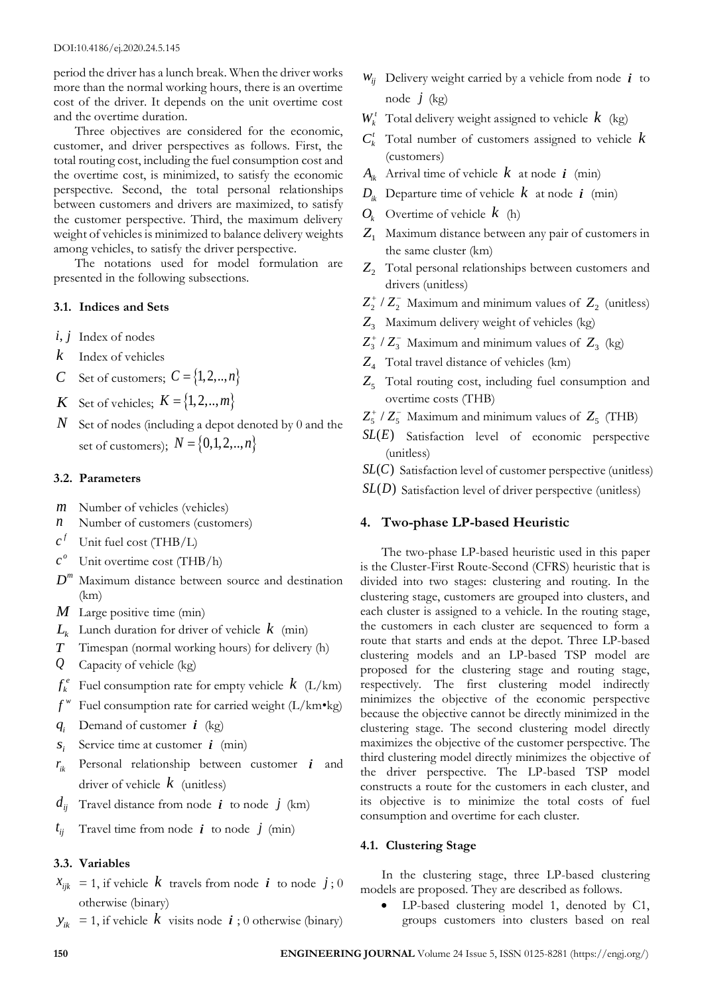period the driver has a lunch break. When the driver works more than the normal working hours, there is an overtime cost of the driver. It depends on the unit overtime cost and the overtime duration.

Three objectives are considered for the economic, customer, and driver perspectives as follows. First, the total routing cost, including the fuel consumption cost and the overtime cost, is minimized, to satisfy the economic perspective. Second, the total personal relationships between customers and drivers are maximized, to satisfy the customer perspective. Third, the maximum delivery weight of vehicles is minimized to balance delivery weights among vehicles, to satisfy the driver perspective.

The notations used for model formulation are presented in the following subsections.

#### **3.1. Indices and Sets**

- *i*, *j* Index of nodes
- *k* Index of vehicles
- *C* Set of customers;  $C = \{1, 2, ..., n\}$
- *K* Set of vehicles;  $K = \{1, 2, \ldots, m\}$
- *N* Set of nodes (including a depot denoted by 0 and the set of customers);  $N = \{0, 1, 2, ..., n\}$

## **3.2. Parameters**

- *m* Number of vehicles (vehicles)
- *n* Number of customers (customers)
- *f c* Unit fuel cost (THB/L)
- *o c* Unit overtime cost (THB/h)
- *<sup>m</sup> D* Maximum distance between source and destination (km)
- *M* Large positive time (min)
- *Lk* Lunch duration for driver of vehicle *k* (min)
- *T* Timespan (normal working hours) for delivery (h)
- *Q* Capacity of vehicle (kg)
- $f_k^e$ Fuel consumption rate for empty vehicle *k* (L/km)
- *w f* Fuel consumption rate for carried weight (L/km•kg)
- $q_i$ Demand of customer *i* (kg)
- *i s* Service time at customer *i* (min)
- $r_{ik}$ Personal relationship between customer *i* and driver of vehicle *k* (unitless)
- $d_{ij}$  Travel distance from node  $\boldsymbol{i}$  to node  $j$  (km)
- $t_{ii}$ Travel time from node  $\boldsymbol{i}$  to node  $\boldsymbol{j}$  (min)

#### **3.3. Variables**

- $x_{ijk}$  = 1, if vehicle  $k$  travels from node  $i$  to node  $j$ ; 0 otherwise (binary)
- $y_{ik}$  = 1, if vehicle  $k$  visits node  $i$ ; 0 otherwise (binary)
- $W_{ij}$  Delivery weight carried by a vehicle from node  $\boldsymbol{i}$  to node *j* (kg)
- $W_k^t$  Total delivery weight assigned to vehicle  $k$  (kg)
- $C_k^t$  Total number of customers assigned to vehicle  $k$ (customers)
- $A_{ik}$  Arrival time of vehicle  $k$  at node  $i$  (min)
- $D_{ik}$  Departure time of vehicle  $k$  at node  $i$  (min)
- $O_k$  Overtime of vehicle  $k$  (h)
- *Z*<sup>1</sup> Maximum distance between any pair of customers in the same cluster (km)
- $Z_2$  Total personal relationships between customers and drivers (unitless)
- $Z_2^+$  /  $Z_2^-$  Maximum and minimum values of  $Z_2$  (unitless)
- *Z*3 Maximum delivery weight of vehicles (kg)
- $Z_3^+$  /  $Z_3^-$  Maximum and minimum values of  $Z_3$  (kg)
- *Z*<sup>4</sup> Total travel distance of vehicles (km)
- Z<sub>5</sub> Total routing cost, including fuel consumption and overtime costs (THB)
- $Z_5^+$  /  $Z_5^-$  Maximum and minimum values of  $Z_5^-$  (THB)
- *SL*(*E*) Satisfaction level of economic perspective (unitless)
- *SL(C)* Satisfaction level of customer perspective (unitless)
- *SL(D)* Satisfaction level of driver perspective (unitless)

#### **4. Two-phase LP-based Heuristic**

The two-phase LP-based heuristic used in this paper is the Cluster-First Route-Second (CFRS) heuristic that is divided into two stages: clustering and routing. In the clustering stage, customers are grouped into clusters, and each cluster is assigned to a vehicle. In the routing stage, the customers in each cluster are sequenced to form a route that starts and ends at the depot. Three LP-based clustering models and an LP-based TSP model are proposed for the clustering stage and routing stage, respectively. The first clustering model indirectly minimizes the objective of the economic perspective because the objective cannot be directly minimized in the clustering stage. The second clustering model directly maximizes the objective of the customer perspective. The third clustering model directly minimizes the objective of the driver perspective. The LP-based TSP model constructs a route for the customers in each cluster, and its objective is to minimize the total costs of fuel consumption and overtime for each cluster.

## **4.1. Clustering Stage**

In the clustering stage, three LP-based clustering models are proposed. They are described as follows.

LP-based clustering model 1, denoted by C1, groups customers into clusters based on real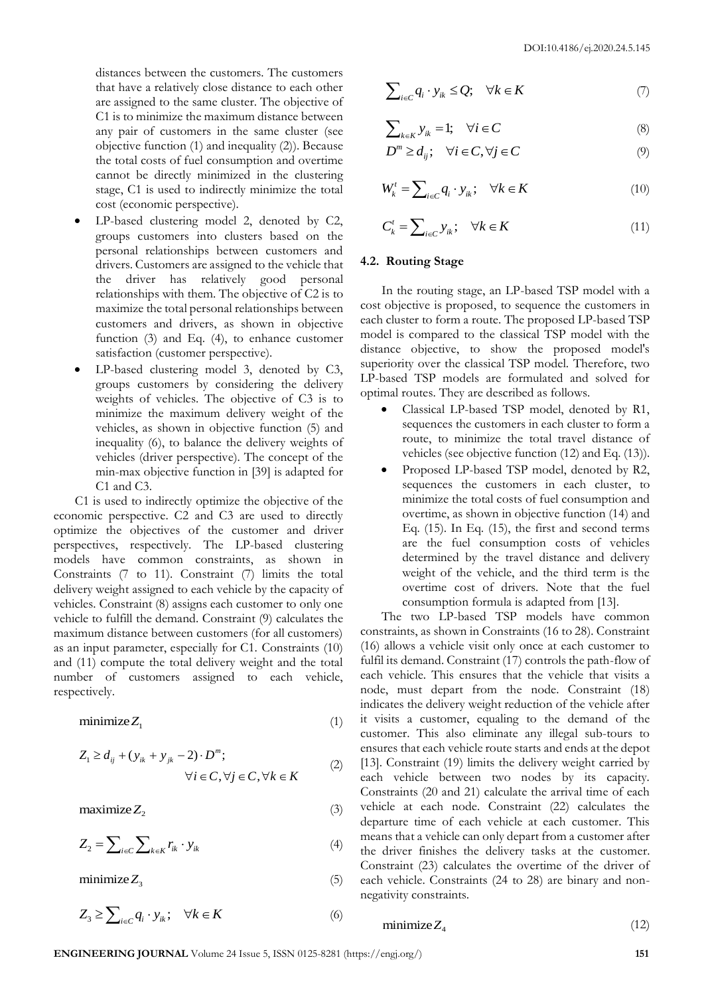distances between the customers. The customers that have a relatively close distance to each other are assigned to the same cluster. The objective of C1 is to minimize the maximum distance between any pair of customers in the same cluster (see objective function (1) and inequality (2)). Because the total costs of fuel consumption and overtime cannot be directly minimized in the clustering stage, C1 is used to indirectly minimize the total cost (economic perspective).

- LP-based clustering model 2, denoted by C2, groups customers into clusters based on the personal relationships between customers and drivers. Customers are assigned to the vehicle that the driver has relatively good personal relationships with them. The objective of C2 is to maximize the total personal relationships between customers and drivers, as shown in objective function (3) and Eq. (4), to enhance customer satisfaction (customer perspective).
- LP-based clustering model 3, denoted by C3, groups customers by considering the delivery weights of vehicles. The objective of C3 is to minimize the maximum delivery weight of the vehicles, as shown in objective function (5) and inequality (6), to balance the delivery weights of vehicles (driver perspective). The concept of the min-max objective function in [39] is adapted for C1 and C3.

C1 is used to indirectly optimize the objective of the economic perspective. C2 and C3 are used to directly optimize the objectives of the customer and driver perspectives, respectively. The LP-based clustering models have common constraints, as shown in Constraints (7 to 11). Constraint (7) limits the total delivery weight assigned to each vehicle by the capacity of vehicles. Constraint (8) assigns each customer to only one vehicle to fulfill the demand. Constraint (9) calculates the maximum distance between customers (for all customers) as an input parameter, especially for C1. Constraints (10) and (11) compute the total delivery weight and the total number of customers assigned to each vehicle, respectively.

$$
minimize Z_1 \tag{1}
$$

$$
Z_{1} \ge d_{ij} + (y_{ik} + y_{jk} - 2) \cdot D^{m};
$$
  

$$
\forall i \in C, \forall j \in C, \forall k \in K
$$
 (2)

$$
\text{maximize} \, Z_2 \tag{3}
$$

$$
Z_2 = \sum_{i \in C} \sum_{k \in K} r_{ik} \cdot y_{ik} \tag{4}
$$

minimize $Z_3$ 

$$
Z_3 \ge \sum_{i \in C} q_i \cdot y_{ik}; \quad \forall k \in K \tag{6}
$$

$$
\sum_{i \in C} q_i \cdot y_{ik} \le Q; \quad \forall k \in K \tag{7}
$$

$$
\sum_{k \in K} y_{ik} = 1; \quad \forall i \in C \tag{8}
$$

$$
D^m \ge d_{ij}; \quad \forall i \in C, \forall j \in C
$$
 (9)

$$
W'_{k} = \sum_{i \in C} q_{i} \cdot y_{ik}; \quad \forall k \in K
$$
 (10)

$$
C'_{k} = \sum_{i \in C} y_{ik}; \quad \forall k \in K
$$
 (11)

## **4.2. Routing Stage**

In the routing stage, an LP-based TSP model with a cost objective is proposed, to sequence the customers in each cluster to form a route. The proposed LP-based TSP model is compared to the classical TSP model with the distance objective, to show the proposed model's superiority over the classical TSP model. Therefore, two LP-based TSP models are formulated and solved for optimal routes. They are described as follows.

- Classical LP-based TSP model, denoted by R1, sequences the customers in each cluster to form a route, to minimize the total travel distance of vehicles (see objective function (12) and Eq. (13)).
- Proposed LP-based TSP model, denoted by R2, sequences the customers in each cluster, to minimize the total costs of fuel consumption and overtime, as shown in objective function (14) and Eq. (15). In Eq. (15), the first and second terms are the fuel consumption costs of vehicles determined by the travel distance and delivery weight of the vehicle, and the third term is the overtime cost of drivers. Note that the fuel consumption formula is adapted from [13].

The two LP-based TSP models have common constraints, as shown in Constraints (16 to 28). Constraint (16) allows a vehicle visit only once at each customer to fulfil its demand. Constraint (17) controls the path-flow of each vehicle. This ensures that the vehicle that visits a node, must depart from the node. Constraint (18) indicates the delivery weight reduction of the vehicle after it visits a customer, equaling to the demand of the customer. This also eliminate any illegal sub-tours to ensures that each vehicle route starts and ends at the depot [13]. Constraint (19) limits the delivery weight carried by each vehicle between two nodes by its capacity. Constraints (20 and 21) calculate the arrival time of each vehicle at each node. Constraint (22) calculates the departure time of each vehicle at each customer. This means that a vehicle can only depart from a customer after the driver finishes the delivery tasks at the customer. Constraint (23) calculates the overtime of the driver of each vehicle. Constraints (24 to 28) are binary and nonnegativity constraints.

$$
minimize Z_4 \tag{12}
$$

(5)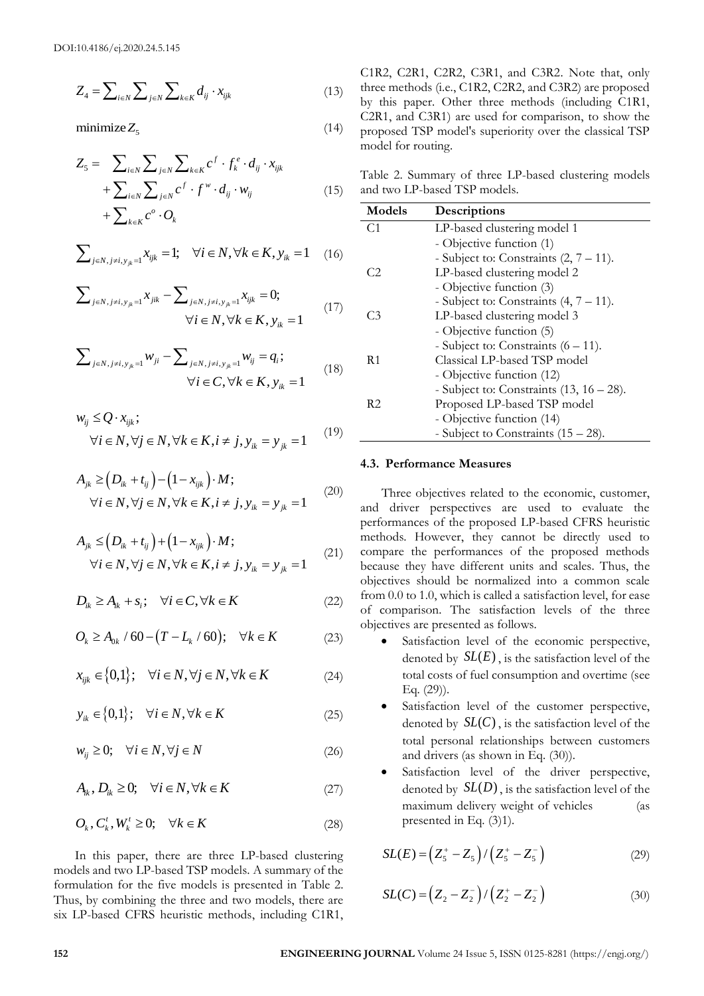$$
Z_4 = \sum_{i \in N} \sum_{j \in N} \sum_{k \in K} d_{ij} \cdot x_{ijk} \tag{13}
$$

$$
Z_{5} = \sum_{i \in N} \sum_{j \in N} \sum_{k \in K} c^{f} \cdot f_{k}^{e} \cdot d_{ij} \cdot x_{ijk}
$$
  
+ 
$$
\sum_{i \in N} \sum_{j \in N} c^{f} \cdot f^{w} \cdot d_{ij} \cdot w_{ij}
$$
  
+ 
$$
\sum_{k \in K} c^{o} \cdot O_{k}
$$
 (15)

$$
\sum_{j \in N, j \neq i, y_{jk}=1} x_{ijk} = 1; \quad \forall i \in N, \forall k \in K, y_{ik} = 1 \quad (16)
$$

$$
\sum_{j \in N, j \neq i, y_{jk}=1} x_{jik} - \sum_{j \in N, j \neq i, y_{jk}=1} x_{ijk} = 0;
$$
\n
$$
\forall i \in N, \forall k \in K, y_{ik} = 1
$$
\n(17)

$$
\sum_{j \in N, j \neq i, y_{jk}=1} w_{ji} - \sum_{j \in N, j \neq i, y_{jk}=1} w_{ij} = q_i;
$$
  
\n
$$
\forall i \in C, \forall k \in K, y_{ik} = 1
$$
\n(18)

$$
w_{ij} \le Q \cdot x_{ijk};
$$
  
\n
$$
\forall i \in N, \forall j \in N, \forall k \in K, i \ne j, y_{ik} = y_{jk} = 1
$$
 (19)

$$
A_{jk} \geq (D_{ik} + t_{ij}) - (1 - x_{ijk}) \cdot M;
$$
  
\n
$$
\forall i \in N, \forall j \in N, \forall k \in K, i \neq j, y_{ik} = y_{jk} = 1
$$
 (20)

$$
A_{jk} \leq (D_{ik} + t_{ij}) + (1 - x_{ijk}) \cdot M;
$$
  
\n
$$
\forall i \in N, \forall j \in N, \forall k \in K, i \neq j, y_{ik} = y_{jk} = 1
$$
 (21)

$$
D_{ik} \ge A_{ik} + s_i; \quad \forall i \in C, \forall k \in K
$$
 (22)

$$
O_k \ge A_{0k} / 60 - (T - L_k / 60); \quad \forall k \in K
$$
 (23)

$$
x_{ijk} \in \{0,1\}; \quad \forall i \in N, \forall j \in N, \forall k \in K \tag{24}
$$

$$
y_{ik} \in \{0,1\}; \quad \forall i \in N, \forall k \in K \tag{25}
$$

$$
w_{ij} \ge 0; \quad \forall i \in N, \forall j \in N
$$
\n
$$
(26)
$$

$$
A_{ik}, D_{ik} \ge 0; \quad \forall i \in N, \forall k \in K \tag{27}
$$

$$
O_k, C_k^t, W_k^t \ge 0; \quad \forall k \in K \tag{28}
$$

C1R2, C2R1, C2R2, C3R1, and C3R2. Note that, only three methods (i.e., C1R2, C2R2, and C3R2) are proposed by this paper. Other three methods (including C1R1, C2R1, and C3R1) are used for comparison, to show the proposed TSP model's superiority over the classical TSP model for routing.

Table 2. Summary of three LP-based clustering models and two LP-based TSP models.

| ⊷4<br>$\sum_{i\in N}\sum_{j\in N}\sum_{k\in K}a_{ij}$ $x_{ijk}$                                                                                                            | $(1 -)$ |                                                                                                                                                                | by this paper. Other three methods (including C1R1,                                                                                                             |      |
|----------------------------------------------------------------------------------------------------------------------------------------------------------------------------|---------|----------------------------------------------------------------------------------------------------------------------------------------------------------------|-----------------------------------------------------------------------------------------------------------------------------------------------------------------|------|
| minimize $Z_5$                                                                                                                                                             | (14)    | C2R1, and C3R1) are used for comparison, to show the<br>proposed TSP model's superiority over the classical TSP<br>model for routing.                          |                                                                                                                                                                 |      |
| $Z_5 = \sum_{i \in N} \sum_{j \in N} \sum_{k \in K} c^f \cdot f_k^e \cdot d_{ij} \cdot x_{ijk}$                                                                            |         |                                                                                                                                                                |                                                                                                                                                                 |      |
| $+\sum_{i\in N}\sum_{j\in N}c^f\cdot f^w\cdot d_{ij}\cdot w_{ij}$                                                                                                          | (15)    | Table 2. Summary of three LP-based clustering models<br>and two LP-based TSP models.                                                                           |                                                                                                                                                                 |      |
| $+\sum_{k\in K}c^{\circ}\cdot O_k$                                                                                                                                         |         | Models                                                                                                                                                         | Descriptions                                                                                                                                                    |      |
|                                                                                                                                                                            |         | C <sub>1</sub>                                                                                                                                                 | LP-based clustering model 1                                                                                                                                     |      |
| $\sum\nolimits_{j\in N,j\neq i,y_k=1}x_{ijk}=1;\quad \forall i\in N,\forall k\in K,y_{ik}=1$                                                                               | (16)    | C <sub>2</sub>                                                                                                                                                 | - Objective function (1)<br>- Subject to: Constraints $(2, 7 - 11)$ .<br>LP-based clustering model 2                                                            |      |
| $\sum_{j \in N, j \neq i, y_{ik}=1} x_{jik} - \sum_{j \in N, j \neq i, y_{ik}=1} x_{ijk} = 0;$<br>$\forall i \in N, \forall k \in K, y_{ik} = 1$                           | (17)    | C <sub>3</sub>                                                                                                                                                 | - Objective function (3)<br>- Subject to: Constraints $(4, 7 - 11)$ .<br>LP-based clustering model 3                                                            |      |
|                                                                                                                                                                            |         |                                                                                                                                                                | - Objective function (5)                                                                                                                                        |      |
|                                                                                                                                                                            |         |                                                                                                                                                                | - Subject to: Constraints $(6 - 11)$ .                                                                                                                          |      |
| $\sum_{j \in N, j \neq i, y_{ii}=1} w_{ji} - \sum_{j \in N, j \neq i, y_{ik}=1} w_{ij} = q_i;$                                                                             | (18)    | R1                                                                                                                                                             | Classical LP-based TSP model                                                                                                                                    |      |
| $\forall i \in C, \forall k \in K, y_{ik} = 1$                                                                                                                             |         |                                                                                                                                                                | - Objective function (12)<br>- Subject to: Constraints $(13, 16 - 28)$ .                                                                                        |      |
|                                                                                                                                                                            |         | R <sub>2</sub>                                                                                                                                                 | Proposed LP-based TSP model                                                                                                                                     |      |
| $w_{ij} \leq Q \cdot x_{ijk};$                                                                                                                                             |         |                                                                                                                                                                | - Objective function (14)                                                                                                                                       |      |
| $\forall i \in N, \forall j \in N, \forall k \in K, i \neq j, y_{ik} = y_{ik} = 1$                                                                                         | (19)    |                                                                                                                                                                | - Subject to Constraints $(15 – 28)$ .                                                                                                                          |      |
|                                                                                                                                                                            |         |                                                                                                                                                                | 4.3. Performance Measures                                                                                                                                       |      |
| $A_{ik} \geq (D_{ik} + t_{ij}) - (1 - x_{ijk}) \cdot M;$                                                                                                                   |         |                                                                                                                                                                |                                                                                                                                                                 |      |
| $\forall i \in N, \forall j \in N, \forall k \in K, i \neq j, y_{ik} = y_{ik} = 1$                                                                                         | (20)    |                                                                                                                                                                | Three objectives related to the economic, customer,<br>and driver perspectives are used to evaluate the<br>performances of the proposed LP-based CFRS heuristic |      |
|                                                                                                                                                                            |         |                                                                                                                                                                | methods. However, they cannot be directly used to                                                                                                               |      |
| $A_{ik} \leq (D_{ik} + t_{ij}) + (1 - x_{ijk}) \cdot M;$                                                                                                                   | (21)    |                                                                                                                                                                | compare the performances of the proposed methods                                                                                                                |      |
| $\forall i \in N, \forall j \in N, \forall k \in K, i \neq j, y_{ik} = y_{ik} = 1$                                                                                         |         |                                                                                                                                                                | because they have different units and scales. Thus, the                                                                                                         |      |
|                                                                                                                                                                            |         |                                                                                                                                                                | objectives should be normalized into a common scale                                                                                                             |      |
| $D_{ik} \geq A_{ik} + s_i; \quad \forall i \in C, \forall k \in K$                                                                                                         | (22)    | from 0.0 to 1.0, which is called a satisfaction level, for ease<br>of comparison. The satisfaction levels of the three<br>objectives are presented as follows. |                                                                                                                                                                 |      |
| $Q_k \geq A_{0k} / 60 - (T - L_k / 60); \quad \forall k \in K$                                                                                                             | (23)    |                                                                                                                                                                | Satisfaction level of the economic perspective,                                                                                                                 |      |
|                                                                                                                                                                            |         |                                                                                                                                                                | denoted by $SL(E)$ , is the satisfaction level of the                                                                                                           |      |
| $x_{ijk} \in \{0,1\}; \quad \forall i \in N, \forall j \in N, \forall k \in K$                                                                                             | (24)    |                                                                                                                                                                | total costs of fuel consumption and overtime (see<br>Eq. $(29)$ ).                                                                                              |      |
| $y_{ik} \in \{0,1\}; \quad \forall i \in N, \forall k \in K$                                                                                                               | (25)    |                                                                                                                                                                | Satisfaction level of the customer perspective,                                                                                                                 |      |
|                                                                                                                                                                            |         |                                                                                                                                                                | denoted by $SL(C)$ , is the satisfaction level of the<br>total personal relationships between customers                                                         |      |
| $w_{ii} \geq 0$ ; $\forall i \in N, \forall j \in N$                                                                                                                       | (26)    | ٠                                                                                                                                                              | and drivers (as shown in Eq. $(30)$ ).<br>Satisfaction level of the driver perspective,                                                                         |      |
| $A_{ik}, D_{ik} \geq 0; \quad \forall i \in N, \forall k \in K$                                                                                                            | (27)    |                                                                                                                                                                | denoted by $SL(D)$ , is the satisfaction level of the                                                                                                           |      |
|                                                                                                                                                                            |         |                                                                                                                                                                | maximum delivery weight of vehicles                                                                                                                             | (as  |
| $O_k, C_k^t, W_k^t \geq 0; \quad \forall k \in K$                                                                                                                          | (28)    |                                                                                                                                                                | presented in Eq. $(3)1$ ).                                                                                                                                      |      |
| In this paper, there are three LP-based clustering<br>models and two LP-based TSP models. A summary of the                                                                 |         |                                                                                                                                                                | $SL(E) = (Z_5^+ - Z_5) / (Z_5^+ - Z_5^-)$                                                                                                                       | (29) |
| formulation for the five models is presented in Table 2.<br>Thus, by combining the three and two models, there are<br>six LP-based CFRS heuristic methods, including C1R1, |         |                                                                                                                                                                | $SL(C) = (Z_2 - Z_2^-) / (Z_2^+ - Z_2^-)$                                                                                                                       | (30) |
|                                                                                                                                                                            |         |                                                                                                                                                                |                                                                                                                                                                 |      |
| 152                                                                                                                                                                        |         |                                                                                                                                                                | ENGINEERING JOURNAL Volume 24 Issue 5, ISSN 0125-8281 (https://engj.org/)                                                                                       |      |

#### **4.3. Performance Measures**

- Satisfaction level of the economic perspective, denoted by  $SL(E)$ , is the satisfaction level of the total costs of fuel consumption and overtime (see Eq. (29)).
- Satisfaction level of the customer perspective, denoted by  $SL(C)$ , is the satisfaction level of the total personal relationships between customers and drivers (as shown in Eq. (30)).
- Satisfaction level of the driver perspective, denoted by  $SL(D)$ , is the satisfaction level of the maximum delivery weight of vehicles (as presented in Eq. (3)1).

$$
SL(E) = (Z_5^* - Z_5) / (Z_5^* - Z_5^-)
$$
 (29)

$$
SL(C) = (Z_2 - Z_2^-) / (Z_2^+ - Z_2^-)
$$
\n(30)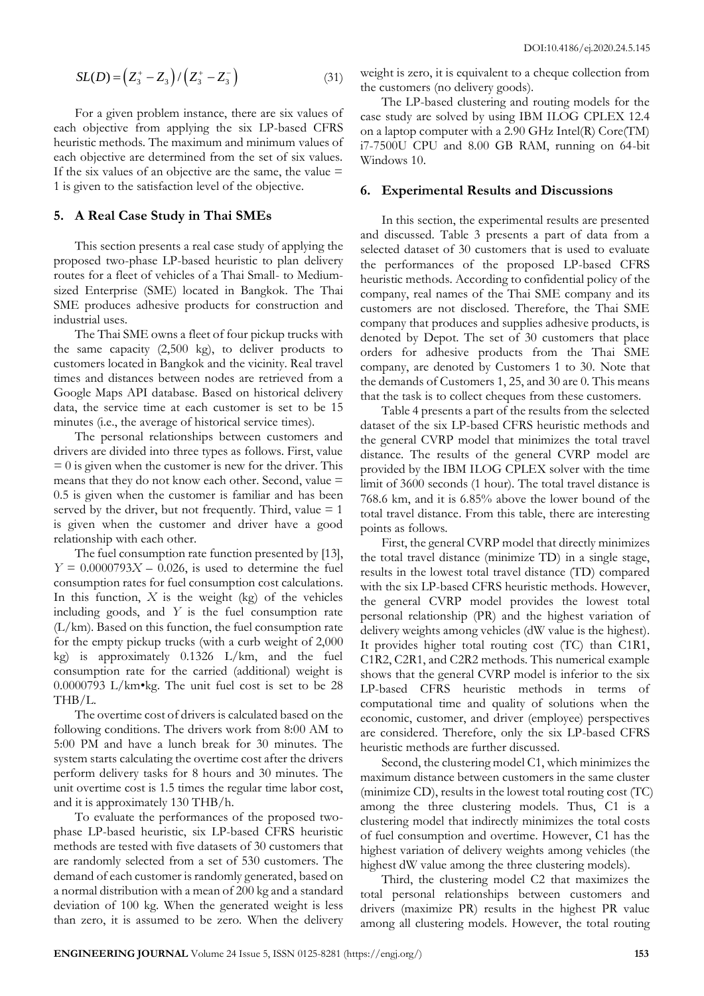$$
SL(D) = (Z_3^* - Z_3) / (Z_3^* - Z_3^-)
$$
\n(31)

For a given problem instance, there are six values of each objective from applying the six LP-based CFRS heuristic methods. The maximum and minimum values of each objective are determined from the set of six values. If the six values of an objective are the same, the value  $=$ 1 is given to the satisfaction level of the objective.

#### **5. A Real Case Study in Thai SMEs**

This section presents a real case study of applying the proposed two-phase LP-based heuristic to plan delivery routes for a fleet of vehicles of a Thai Small- to Mediumsized Enterprise (SME) located in Bangkok. The Thai SME produces adhesive products for construction and industrial uses.

The Thai SME owns a fleet of four pickup trucks with the same capacity (2,500 kg), to deliver products to customers located in Bangkok and the vicinity. Real travel times and distances between nodes are retrieved from a Google Maps API database. Based on historical delivery data, the service time at each customer is set to be 15 minutes (i.e., the average of historical service times).

The personal relationships between customers and drivers are divided into three types as follows. First, value  $= 0$  is given when the customer is new for the driver. This means that they do not know each other. Second, value = 0.5 is given when the customer is familiar and has been served by the driver, but not frequently. Third, value  $= 1$ is given when the customer and driver have a good relationship with each other.

The fuel consumption rate function presented by [13],  $Y = 0.0000793X - 0.026$ , is used to determine the fuel consumption rates for fuel consumption cost calculations. In this function,  $X$  is the weight (kg) of the vehicles including goods, and *Y* is the fuel consumption rate (L/km). Based on this function, the fuel consumption rate for the empty pickup trucks (with a curb weight of 2,000 kg) is approximately 0.1326 L/km, and the fuel consumption rate for the carried (additional) weight is 0.0000793 L/km•kg. The unit fuel cost is set to be 28 THB/L.

The overtime cost of drivers is calculated based on the following conditions. The drivers work from 8:00 AM to 5:00 PM and have a lunch break for 30 minutes. The system starts calculating the overtime cost after the drivers perform delivery tasks for 8 hours and 30 minutes. The unit overtime cost is 1.5 times the regular time labor cost, and it is approximately 130 THB/h.

To evaluate the performances of the proposed twophase LP-based heuristic, six LP-based CFRS heuristic methods are tested with five datasets of 30 customers that are randomly selected from a set of 530 customers. The demand of each customer is randomly generated, based on a normal distribution with a mean of 200 kg and a standard deviation of 100 kg. When the generated weight is less than zero, it is assumed to be zero. When the delivery weight is zero, it is equivalent to a cheque collection from the customers (no delivery goods).

The LP-based clustering and routing models for the case study are solved by using IBM ILOG CPLEX 12.4 on a laptop computer with a 2.90 GHz Intel(R) Core(TM) i7-7500U CPU and 8.00 GB RAM, running on 64-bit Windows 10.

#### **6. Experimental Results and Discussions**

In this section, the experimental results are presented and discussed. Table 3 presents a part of data from a selected dataset of 30 customers that is used to evaluate the performances of the proposed LP-based CFRS heuristic methods. According to confidential policy of the company, real names of the Thai SME company and its customers are not disclosed. Therefore, the Thai SME company that produces and supplies adhesive products, is denoted by Depot. The set of 30 customers that place orders for adhesive products from the Thai SME company, are denoted by Customers 1 to 30. Note that the demands of Customers 1, 25, and 30 are 0. This means that the task is to collect cheques from these customers.

Table 4 presents a part of the results from the selected dataset of the six LP-based CFRS heuristic methods and the general CVRP model that minimizes the total travel distance. The results of the general CVRP model are provided by the IBM ILOG CPLEX solver with the time limit of 3600 seconds (1 hour). The total travel distance is 768.6 km, and it is 6.85% above the lower bound of the total travel distance. From this table, there are interesting points as follows.

**ENGINEERING THE CONSULTS IS A CONSULTER CONSULTER CONSULTER UNIVERSITY (CONSULTER CONSULTER CONSULTER CONSULTER CONSULTER CONSULTER CONSULTER CONSULTER CONSULTER CONSULTER CONSULTER CONSULTER CONSULTER CONSULTER CONSULTE** First, the general CVRP model that directly minimizes the total travel distance (minimize TD) in a single stage, results in the lowest total travel distance (TD) compared with the six LP-based CFRS heuristic methods. However, the general CVRP model provides the lowest total personal relationship (PR) and the highest variation of delivery weights among vehicles (dW value is the highest). It provides higher total routing cost (TC) than C1R1, C1R2, C2R1, and C2R2 methods. This numerical example shows that the general CVRP model is inferior to the six LP-based CFRS heuristic methods in terms of computational time and quality of solutions when the economic, customer, and driver (employee) perspectives are considered. Therefore, only the six LP-based CFRS heuristic methods are further discussed.

Second, the clustering model C1, which minimizes the maximum distance between customers in the same cluster (minimize CD), results in the lowest total routing cost (TC) among the three clustering models. Thus, C1 is a clustering model that indirectly minimizes the total costs of fuel consumption and overtime. However, C1 has the highest variation of delivery weights among vehicles (the highest dW value among the three clustering models).

Third, the clustering model C2 that maximizes the total personal relationships between customers and drivers (maximize PR) results in the highest PR value among all clustering models. However, the total routing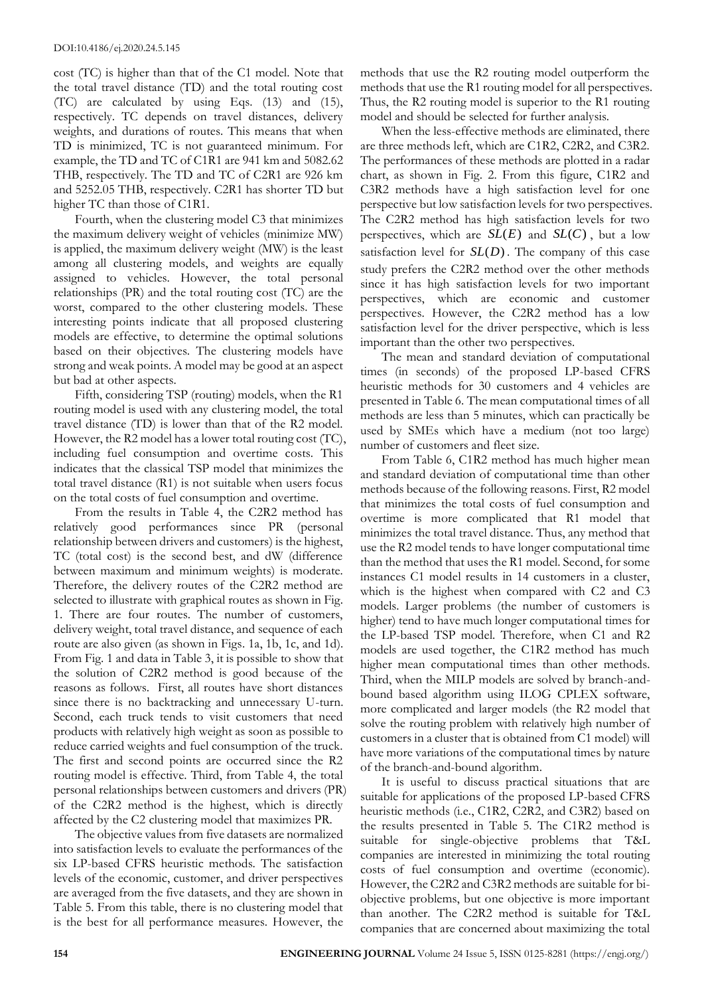cost (TC) is higher than that of the C1 model. Note that the total travel distance (TD) and the total routing cost (TC) are calculated by using Eqs. (13) and (15), respectively. TC depends on travel distances, delivery weights, and durations of routes. This means that when TD is minimized, TC is not guaranteed minimum. For example, the TD and TC of C1R1 are 941 km and 5082.62 THB, respectively. The TD and TC of C2R1 are 926 km and 5252.05 THB, respectively. C2R1 has shorter TD but higher TC than those of C1R1.

Fourth, when the clustering model C3 that minimizes the maximum delivery weight of vehicles (minimize MW) is applied, the maximum delivery weight (MW) is the least among all clustering models, and weights are equally assigned to vehicles. However, the total personal relationships (PR) and the total routing cost (TC) are the worst, compared to the other clustering models. These interesting points indicate that all proposed clustering models are effective, to determine the optimal solutions based on their objectives. The clustering models have strong and weak points. A model may be good at an aspect but bad at other aspects.

Fifth, considering TSP (routing) models, when the R1 routing model is used with any clustering model, the total travel distance (TD) is lower than that of the R2 model. However, the R2 model has a lower total routing cost (TC), including fuel consumption and overtime costs. This indicates that the classical TSP model that minimizes the total travel distance (R1) is not suitable when users focus on the total costs of fuel consumption and overtime.

From the results in Table 4, the C2R2 method has relatively good performances since PR (personal relationship between drivers and customers) is the highest, TC (total cost) is the second best, and dW (difference between maximum and minimum weights) is moderate. Therefore, the delivery routes of the C2R2 method are selected to illustrate with graphical routes as shown in Fig. 1. There are four routes. The number of customers, delivery weight, total travel distance, and sequence of each route are also given (as shown in Figs. 1a, 1b, 1c, and 1d). From Fig. 1 and data in Table 3, it is possible to show that the solution of C2R2 method is good because of the reasons as follows. First, all routes have short distances since there is no backtracking and unnecessary U-turn. Second, each truck tends to visit customers that need products with relatively high weight as soon as possible to reduce carried weights and fuel consumption of the truck. The first and second points are occurred since the R2 routing model is effective. Third, from Table 4, the total personal relationships between customers and drivers (PR) of the C2R2 method is the highest, which is directly affected by the C2 clustering model that maximizes PR.

The objective values from five datasets are normalized into satisfaction levels to evaluate the performances of the six LP-based CFRS heuristic methods. The satisfaction levels of the economic, customer, and driver perspectives are averaged from the five datasets, and they are shown in Table 5. From this table, there is no clustering model that is the best for all performance measures. However, the methods that use the R2 routing model outperform the methods that use the R1 routing model for all perspectives. Thus, the R2 routing model is superior to the R1 routing model and should be selected for further analysis.

When the less-effective methods are eliminated, there are three methods left, which are C1R2, C2R2, and C3R2. The performances of these methods are plotted in a radar chart, as shown in Fig. 2. From this figure, C1R2 and C3R2 methods have a high satisfaction level for one perspective but low satisfaction levels for two perspectives. The C2R2 method has high satisfaction levels for two perspectives, which are  $SL(E)$  and  $SL(C)$ , but a low satisfaction level for  $SL(D)$ . The company of this case study prefers the C2R2 method over the other methods since it has high satisfaction levels for two important perspectives, which are economic and customer perspectives. However, the C2R2 method has a low satisfaction level for the driver perspective, which is less important than the other two perspectives.

The mean and standard deviation of computational times (in seconds) of the proposed LP-based CFRS heuristic methods for 30 customers and 4 vehicles are presented in Table 6. The mean computational times of all methods are less than 5 minutes, which can practically be used by SMEs which have a medium (not too large) number of customers and fleet size.

From Table 6, C1R2 method has much higher mean and standard deviation of computational time than other methods because of the following reasons. First, R2 model that minimizes the total costs of fuel consumption and overtime is more complicated that R1 model that minimizes the total travel distance. Thus, any method that use the R2 model tends to have longer computational time than the method that uses the R1 model. Second, for some instances C1 model results in 14 customers in a cluster, which is the highest when compared with C2 and C3 models. Larger problems (the number of customers is higher) tend to have much longer computational times for the LP-based TSP model. Therefore, when C1 and R2 models are used together, the C1R2 method has much higher mean computational times than other methods. Third, when the MILP models are solved by branch-andbound based algorithm using ILOG CPLEX software, more complicated and larger models (the R2 model that solve the routing problem with relatively high number of customers in a cluster that is obtained from C1 model) will have more variations of the computational times by nature of the branch-and-bound algorithm.

It is useful to discuss practical situations that are suitable for applications of the proposed LP-based CFRS heuristic methods (i.e., C1R2, C2R2, and C3R2) based on the results presented in Table 5. The C1R2 method is suitable for single-objective problems that T&L companies are interested in minimizing the total routing costs of fuel consumption and overtime (economic). However, the C2R2 and C3R2 methods are suitable for biobjective problems, but one objective is more important than another. The C2R2 method is suitable for T&L companies that are concerned about maximizing the total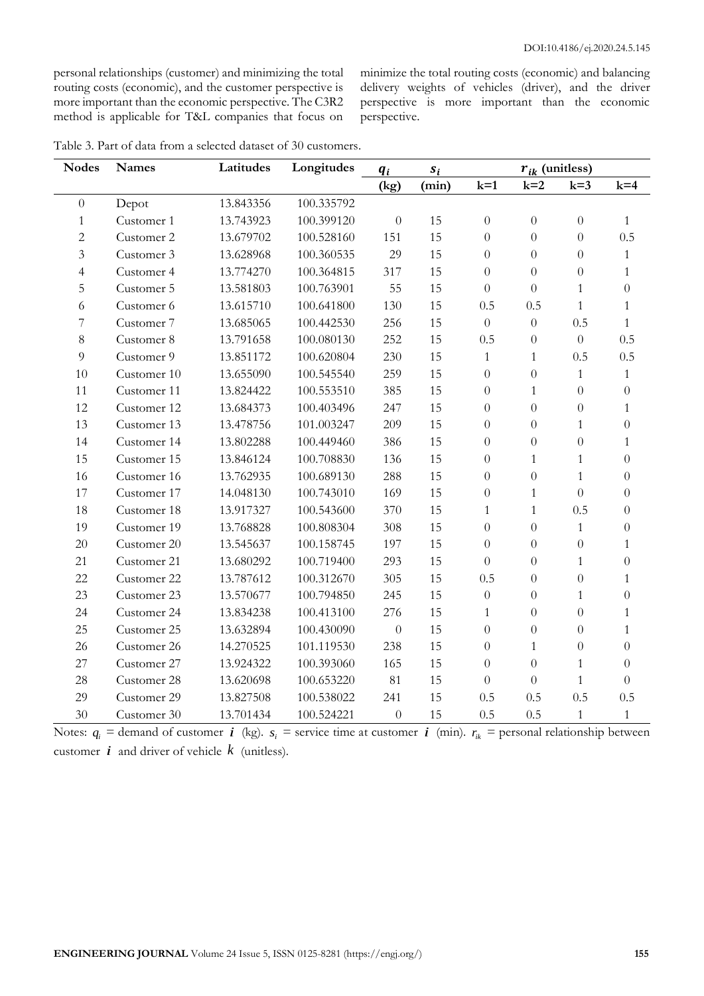personal relationships (customer) and minimizing the total routing costs (economic), and the customer perspective is more important than the economic perspective. The C3R2 method is applicable for T&L companies that focus on minimize the total routing costs (economic) and balancing delivery weights of vehicles (driver), and the driver perspective is more important than the economic perspective.

| Table 3. Part of data from a selected dataset of 30 customers. |  |
|----------------------------------------------------------------|--|
|----------------------------------------------------------------|--|

| <b>Nodes</b>     | <b>Names</b> | Latitudes | Longitudes | $q_i$            | $r_{ik}$ (unitless)<br>$s_i$ |                  |                  |                  |                  |
|------------------|--------------|-----------|------------|------------------|------------------------------|------------------|------------------|------------------|------------------|
|                  |              |           |            | (kg)             | (min)                        | $k=1$            | $k=2$            | $k=3$            | $k=4$            |
| $\boldsymbol{0}$ | Depot        | 13.843356 | 100.335792 |                  |                              |                  |                  |                  |                  |
| $\mathbf{1}$     | Customer 1   | 13.743923 | 100.399120 | $\boldsymbol{0}$ | 15                           | $\boldsymbol{0}$ | $\boldsymbol{0}$ | $\boldsymbol{0}$ | $\mathbf{1}$     |
| $\sqrt{2}$       | Customer 2   | 13.679702 | 100.528160 | 151              | 15                           | $\overline{0}$   | $\overline{0}$   | $\overline{0}$   | 0.5              |
| $\overline{3}$   | Customer 3   | 13.628968 | 100.360535 | 29               | 15                           | $\overline{0}$   | $\overline{0}$   | $\overline{0}$   | $\mathbf{1}$     |
| $\overline{4}$   | Customer 4   | 13.774270 | 100.364815 | 317              | 15                           | $\theta$         | $\boldsymbol{0}$ | $\boldsymbol{0}$ | $\mathbf{1}$     |
| 5                | Customer 5   | 13.581803 | 100.763901 | 55               | 15                           | $\theta$         | $\overline{0}$   | $\mathbf{1}$     | $\theta$         |
| 6                | Customer 6   | 13.615710 | 100.641800 | 130              | 15                           | 0.5              | 0.5              | $\mathbf{1}$     | $\mathbf{1}$     |
| 7                | Customer 7   | 13.685065 | 100.442530 | 256              | 15                           | $\theta$         | $\boldsymbol{0}$ | 0.5              | $\mathbf{1}$     |
| $8\,$            | Customer 8   | 13.791658 | 100.080130 | 252              | 15                           | 0.5              | $\boldsymbol{0}$ | $\overline{0}$   | 0.5              |
| 9                | Customer 9   | 13.851172 | 100.620804 | 230              | 15                           | $\mathbf{1}$     | $\mathbf{1}$     | 0.5              | 0.5              |
| 10               | Customer 10  | 13.655090 | 100.545540 | 259              | 15                           | $\theta$         | $\boldsymbol{0}$ | $\mathbf{1}$     | $\mathbf{1}$     |
| 11               | Customer 11  | 13.824422 | 100.553510 | 385              | 15                           | $\theta$         | $\mathbf{1}$     | $\theta$         | $\theta$         |
| 12               | Customer 12  | 13.684373 | 100.403496 | 247              | 15                           | $\theta$         | $\boldsymbol{0}$ | $\boldsymbol{0}$ | $\mathbf{1}$     |
| 13               | Customer 13  | 13.478756 | 101.003247 | 209              | 15                           | $\overline{0}$   | $\overline{0}$   | $\mathbf{1}$     | $\overline{0}$   |
| 14               | Customer 14  | 13.802288 | 100.449460 | 386              | 15                           | $\theta$         | $\boldsymbol{0}$ | $\boldsymbol{0}$ | 1                |
| 15               | Customer 15  | 13.846124 | 100.708830 | 136              | 15                           | $\theta$         | $\mathbf{1}$     | $\mathbf{1}$     | $\theta$         |
| 16               | Customer 16  | 13.762935 | 100.689130 | 288              | 15                           | $\theta$         | $\boldsymbol{0}$ | $\mathbf{1}$     | $\boldsymbol{0}$ |
| 17               | Customer 17  | 14.048130 | 100.743010 | 169              | 15                           | $\theta$         | $\mathbf{1}$     | $\overline{0}$   | $\theta$         |
| 18               | Customer 18  | 13.917327 | 100.543600 | 370              | 15                           | $\mathbf{1}$     | $\mathbf{1}$     | 0.5              | $\overline{0}$   |
| 19               | Customer 19  | 13.768828 | 100.808304 | 308              | 15                           | $\theta$         | $\overline{0}$   | $\mathbf{1}$     | $\overline{0}$   |
| 20               | Customer 20  | 13.545637 | 100.158745 | 197              | 15                           | $\theta$         | $\boldsymbol{0}$ | $\theta$         | $\mathbf{1}$     |
| 21               | Customer 21  | 13.680292 | 100.719400 | 293              | 15                           | $\theta$         | $\overline{0}$   | $\mathbf{1}$     | $\overline{0}$   |
| 22               | Customer 22  | 13.787612 | 100.312670 | 305              | 15                           | 0.5              | $\boldsymbol{0}$ | $\boldsymbol{0}$ | $\mathbf{1}$     |
| 23               | Customer 23  | 13.570677 | 100.794850 | 245              | 15                           | $\boldsymbol{0}$ | $\boldsymbol{0}$ | $\mathbf{1}$     | $\overline{0}$   |
| 24               | Customer 24  | 13.834238 | 100.413100 | 276              | 15                           | $\mathbf{1}$     | $\boldsymbol{0}$ | $\boldsymbol{0}$ | 1                |
| 25               | Customer 25  | 13.632894 | 100.430090 | $\boldsymbol{0}$ | 15                           | $\theta$         | $\boldsymbol{0}$ | $\boldsymbol{0}$ | $\mathbf{1}$     |
| 26               | Customer 26  | 14.270525 | 101.119530 | 238              | 15                           | $\theta$         | $\mathbf{1}$     | $\boldsymbol{0}$ | $\theta$         |
| 27               | Customer 27  | 13.924322 | 100.393060 | 165              | 15                           | $\theta$         | $\boldsymbol{0}$ | $\mathbf{1}$     | $\theta$         |
| 28               | Customer 28  | 13.620698 | 100.653220 | 81               | 15                           | $\theta$         | $\boldsymbol{0}$ | $\mathbf{1}$     | $\boldsymbol{0}$ |
| 29               | Customer 29  | 13.827508 | 100.538022 | 241              | 15                           | 0.5              | 0.5              | 0.5              | 0.5              |
| 30               | Customer 30  | 13.701434 | 100.524221 | $\boldsymbol{0}$ | 15                           | 0.5              | 0.5              | $\mathbf{1}$     | $\mathbf{1}$     |

Notes:  $q_i$  = demand of customer *i* (kg).  $s_i$  = service time at customer *i* (min).  $r_{ik}$  = personal relationship between customer  $\boldsymbol{i}$  and driver of vehicle  $\boldsymbol{k}$  (unitless).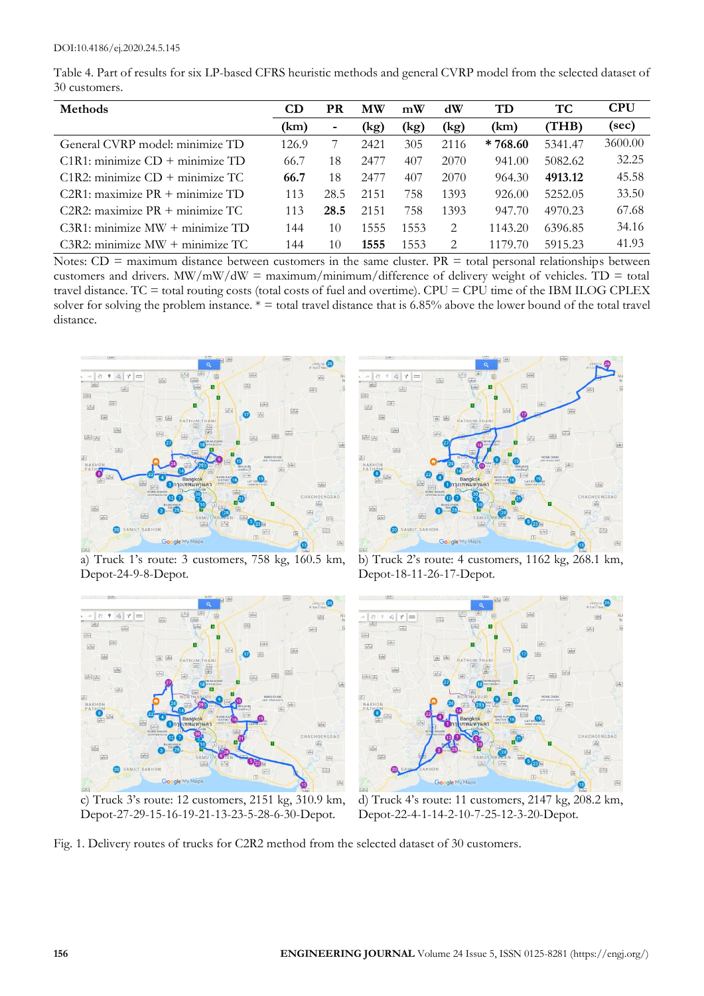| Table 4. Part of results for six LP-based CFRS heuristic methods and general CVRP model from the selected dataset of |  |
|----------------------------------------------------------------------------------------------------------------------|--|
| 30 customers.                                                                                                        |  |

| <b>Methods</b>                         | CD    | <b>PR</b>      | <b>MW</b> | mW   | dW   | TD        | TС      | <b>CPU</b> |
|----------------------------------------|-------|----------------|-----------|------|------|-----------|---------|------------|
|                                        | (km)  | $\blacksquare$ | (kg)      | (kg) | (kg) | (km)      | THB)    | (sec)      |
| General CVRP model: minimize TD        | 126.9 |                | 2421      | 305  | 2116 | $*768.60$ | 5341.47 | 3600.00    |
| $C1R1$ : minimize $CD +$ minimize $TD$ | 66.7  | 18             | 2477      | 407  | 2070 | 941.00    | 5082.62 | 32.25      |
| $C1R2$ : minimize $CD +$ minimize TC   | 66.7  | 18             | 2477      | 407  | 2070 | 964.30    | 4913.12 | 45.58      |
| $C2R1$ : maximize PR + minimize TD     | 113   | 28.5           | 2151      | 758  | 1393 | 926.00    | 5252.05 | 33.50      |
| $C2R2$ : maximize PR $+$ minimize TC   | 113   | 28.5           | 2151      | 758  | 1393 | 947.70    | 4970.23 | 67.68      |
| $C3R1$ : minimize MW + minimize TD     | 144   | 10             | 1555      | 1553 | 2    | 1143.20   | 6396.85 | 34.16      |
| $C3R2$ : minimize MW + minimize TC     | 144   | 10             | 1555      | 1553 | 2    | 1179.70   | 5915.23 | 41.93      |

Notes:  $CD =$  maximum distance between customers in the same cluster.  $PR =$  total personal relationships between customers and drivers. MW/mW/dW = maximum/minimum/difference of delivery weight of vehicles. TD = total travel distance. TC = total routing costs (total costs of fuel and overtime). CPU = CPU time of the IBM ILOG CPLEX solver for solving the problem instance.  $* =$  total travel distance that is 6.85% above the lower bound of the total travel distance.



a) Truck 1's route: 3 customers, 758 kg, 160.5 km, Depot-24-9-8-Depot.



c) Truck 3's route: 12 customers, 2151 kg, 310.9 km, Depot-27-29-15-16-19-21-13-23-5-28-6-30-Depot.



b) Truck 2's route: 4 customers, 1162 kg, 268.1 km, Depot-18-11-26-17-Depot.



d) Truck 4's route: 11 customers, 2147 kg, 208.2 km, Depot-22-4-1-14-2-10-7-25-12-3-20-Depot.

Fig. 1. Delivery routes of trucks for C2R2 method from the selected dataset of 30 customers.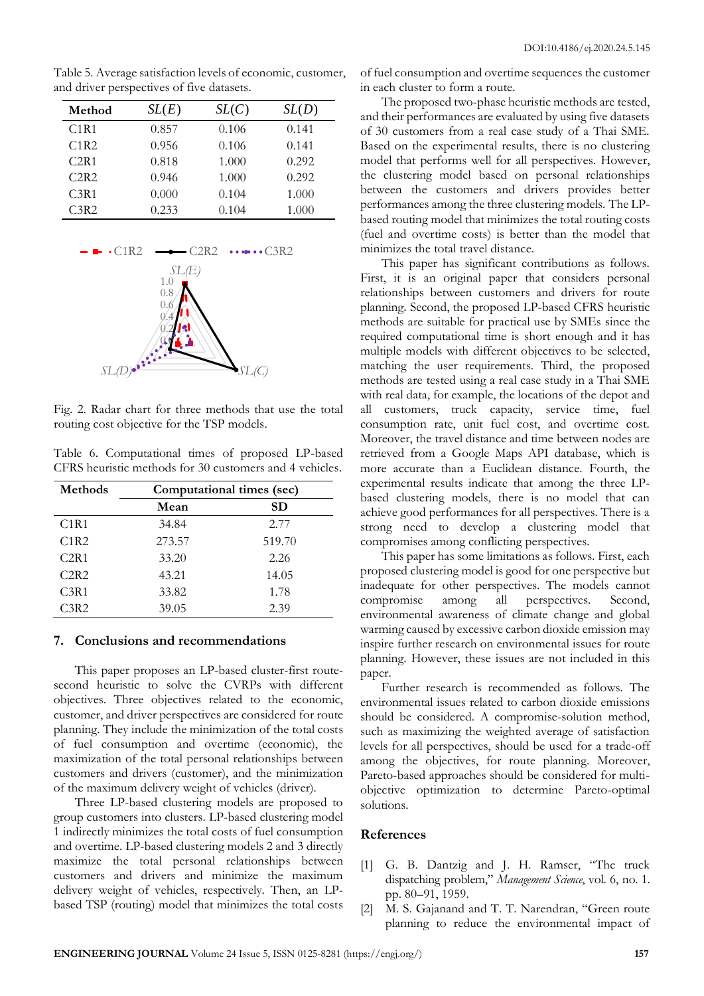| Method           | SL(E) | SL(C) | SL(D) |
|------------------|-------|-------|-------|
| C1R1             | 0.857 | 0.106 | 0.141 |
| C1R2             | 0.956 | 0.106 | 0.141 |
| C2R1             | 0.818 | 1.000 | 0.292 |
| C2R2             | 0.946 | 1.000 | 0.292 |
| C <sub>3R1</sub> | 0.000 | 0.104 | 1.000 |
| C <sub>3R2</sub> | 0.233 | 0.104 | 1.000 |

Table 5. Average satisfaction levels of economic, customer, and driver perspectives of five datasets.



Fig. 2. Radar chart for three methods that use the total routing cost objective for the TSP models.

Table 6. Computational times of proposed LP-based CFRS heuristic methods for 30 customers and 4 vehicles.

| <b>Methods</b> | Computational times (sec) |           |  |
|----------------|---------------------------|-----------|--|
|                | Mean                      | <b>SD</b> |  |
| C1R1           | 34.84                     | 2.77      |  |
| C1R2           | 273.57                    | 519.70    |  |
| C2R1           | 33.20                     | 2.26      |  |
| C2R2           | 43.21                     | 14.05     |  |
| C3R1           | 33.82                     | 1.78      |  |
| $\sqrt{3R2}$   | 39.05                     | 2.39      |  |

#### **7. Conclusions and recommendations**

This paper proposes an LP-based cluster-first routesecond heuristic to solve the CVRPs with different objectives. Three objectives related to the economic, customer, and driver perspectives are considered for route planning. They include the minimization of the total costs of fuel consumption and overtime (economic), the maximization of the total personal relationships between customers and drivers (customer), and the minimization of the maximum delivery weight of vehicles (driver).

Three LP-based clustering models are proposed to group customers into clusters. LP-based clustering model 1 indirectly minimizes the total costs of fuel consumption and overtime. LP-based clustering models 2 and 3 directly maximize the total personal relationships between customers and drivers and minimize the maximum delivery weight of vehicles, respectively. Then, an LPbased TSP (routing) model that minimizes the total costs of fuel consumption and overtime sequences the customer in each cluster to form a route.

The proposed two-phase heuristic methods are tested, and their performances are evaluated by using five datasets of 30 customers from a real case study of a Thai SME. Based on the experimental results, there is no clustering model that performs well for all perspectives. However, the clustering model based on personal relationships between the customers and drivers provides better performances among the three clustering models. The LPbased routing model that minimizes the total routing costs (fuel and overtime costs) is better than the model that minimizes the total travel distance.

This paper has significant contributions as follows. First, it is an original paper that considers personal relationships between customers and drivers for route planning. Second, the proposed LP-based CFRS heuristic methods are suitable for practical use by SMEs since the required computational time is short enough and it has multiple models with different objectives to be selected, matching the user requirements. Third, the proposed methods are tested using a real case study in a Thai SME with real data, for example, the locations of the depot and all customers, truck capacity, service time, fuel consumption rate, unit fuel cost, and overtime cost. Moreover, the travel distance and time between nodes are retrieved from a Google Maps API database, which is more accurate than a Euclidean distance. Fourth, the experimental results indicate that among the three LPbased clustering models, there is no model that can achieve good performances for all perspectives. There is a strong need to develop a clustering model that compromises among conflicting perspectives.

This paper has some limitations as follows. First, each proposed clustering model is good for one perspective but inadequate for other perspectives. The models cannot compromise among all perspectives. Second, environmental awareness of climate change and global warming caused by excessive carbon dioxide emission may inspire further research on environmental issues for route planning. However, these issues are not included in this paper.

Further research is recommended as follows. The environmental issues related to carbon dioxide emissions should be considered. A compromise-solution method, such as maximizing the weighted average of satisfaction levels for all perspectives, should be used for a trade-off among the objectives, for route planning. Moreover, Pareto-based approaches should be considered for multiobjective optimization to determine Pareto-optimal solutions.

## **References**

- [1] G. B. Dantzig and J. H. Ramser, "The truck dispatching problem," *Management Science*, vol. 6, no. 1. pp. 80–91, 1959.
- [2] M. S. Gajanand and T. T. Narendran, "Green route planning to reduce the environmental impact of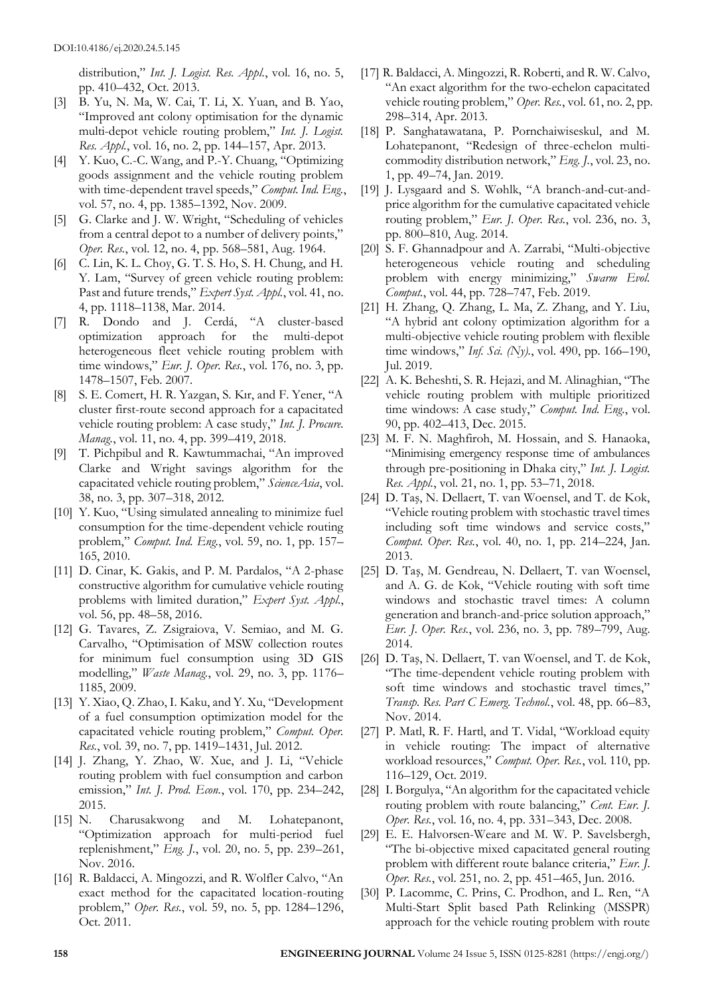distribution," *Int. J. Logist. Res. Appl.*, vol. 16, no. 5, pp. 410–432, Oct. 2013.

- [3] B. Yu, N. Ma, W. Cai, T. Li, X. Yuan, and B. Yao, "Improved ant colony optimisation for the dynamic multi-depot vehicle routing problem," *Int. J. Logist. Res. Appl.*, vol. 16, no. 2, pp. 144–157, Apr. 2013.
- [4] Y. Kuo, C.-C. Wang, and P.-Y. Chuang, "Optimizing goods assignment and the vehicle routing problem with time-dependent travel speeds," *Comput. Ind. Eng.*, vol. 57, no. 4, pp. 1385–1392, Nov. 2009.
- [5] G. Clarke and J. W. Wright, "Scheduling of vehicles from a central depot to a number of delivery points," *Oper. Res.*, vol. 12, no. 4, pp. 568–581, Aug. 1964.
- [6] C. Lin, K. L. Choy, G. T. S. Ho, S. H. Chung, and H. Y. Lam, "Survey of green vehicle routing problem: Past and future trends," *Expert Syst. Appl.*, vol. 41, no. 4, pp. 1118–1138, Mar. 2014.
- [7] R. Dondo and J. Cerdá, "A cluster-based optimization approach for the multi-depot heterogeneous fleet vehicle routing problem with time windows," *Eur. J. Oper. Res.*, vol. 176, no. 3, pp. 1478–1507, Feb. 2007.
- [8] S. E. Comert, H. R. Yazgan, S. Kır, and F. Yener, "A cluster first-route second approach for a capacitated vehicle routing problem: A case study," *Int. J. Procure. Manag.*, vol. 11, no. 4, pp. 399–419, 2018.
- [9] T. Pichpibul and R. Kawtummachai, "An improved Clarke and Wright savings algorithm for the capacitated vehicle routing problem," *ScienceAsia*, vol. 38, no. 3, pp. 307–318, 2012.
- [10] Y. Kuo, "Using simulated annealing to minimize fuel consumption for the time-dependent vehicle routing problem," *Comput. Ind. Eng.*, vol. 59, no. 1, pp. 157– 165, 2010.
- [11] D. Cinar, K. Gakis, and P. M. Pardalos, "A 2-phase constructive algorithm for cumulative vehicle routing problems with limited duration," *Expert Syst. Appl.*, vol. 56, pp. 48–58, 2016.
- [12] G. Tavares, Z. Zsigraiova, V. Semiao, and M. G. Carvalho, "Optimisation of MSW collection routes for minimum fuel consumption using 3D GIS modelling," *Waste Manag.*, vol. 29, no. 3, pp. 1176– 1185, 2009.
- [13] Y. Xiao, Q. Zhao, I. Kaku, and Y. Xu, "Development of a fuel consumption optimization model for the capacitated vehicle routing problem," *Comput. Oper. Res.*, vol. 39, no. 7, pp. 1419–1431, Jul. 2012.
- [14] J. Zhang, Y. Zhao, W. Xue, and J. Li, "Vehicle routing problem with fuel consumption and carbon emission," *Int. J. Prod. Econ.*, vol. 170, pp. 234–242, 2015.
- [15] N. Charusakwong and M. Lohatepanont, "Optimization approach for multi-period fuel replenishment," *Eng. J.*, vol. 20, no. 5, pp. 239–261, Nov. 2016.
- [16] R. Baldacci, A. Mingozzi, and R. Wolfler Calvo, "An exact method for the capacitated location-routing problem," *Oper. Res.*, vol. 59, no. 5, pp. 1284–1296, Oct. 2011.
- [17] R. Baldacci, A. Mingozzi, R. Roberti, and R. W. Calvo, "An exact algorithm for the two-echelon capacitated vehicle routing problem," *Oper. Res.*, vol. 61, no. 2, pp. 298–314, Apr. 2013.
- [18] P. Sanghatawatana, P. Pornchaiwiseskul, and M. Lohatepanont, "Redesign of three-echelon multicommodity distribution network," *Eng. J.*, vol. 23, no. 1, pp. 49–74, Jan. 2019.
- [19] J. Lysgaard and S. Wøhlk, "A branch-and-cut-andprice algorithm for the cumulative capacitated vehicle routing problem," *Eur. J. Oper. Res.*, vol. 236, no. 3, pp. 800–810, Aug. 2014.
- [20] S. F. Ghannadpour and A. Zarrabi, "Multi-objective heterogeneous vehicle routing and scheduling problem with energy minimizing," *Swarm Evol. Comput.*, vol. 44, pp. 728–747, Feb. 2019.
- [21] H. Zhang, Q. Zhang, L. Ma, Z. Zhang, and Y. Liu, "A hybrid ant colony optimization algorithm for a multi-objective vehicle routing problem with flexible time windows," *Inf. Sci. (Ny).*, vol. 490, pp. 166–190, Jul. 2019.
- [22] A. K. Beheshti, S. R. Hejazi, and M. Alinaghian, "The vehicle routing problem with multiple prioritized time windows: A case study," *Comput. Ind. Eng.*, vol. 90, pp. 402–413, Dec. 2015.
- [23] M. F. N. Maghfiroh, M. Hossain, and S. Hanaoka, "Minimising emergency response time of ambulances through pre-positioning in Dhaka city," *Int. J. Logist. Res. Appl.*, vol. 21, no. 1, pp. 53–71, 2018.
- [24] D. Taş, N. Dellaert, T. van Woensel, and T. de Kok, "Vehicle routing problem with stochastic travel times including soft time windows and service costs," *Comput. Oper. Res.*, vol. 40, no. 1, pp. 214–224, Jan. 2013.
- [25] D. Taş, M. Gendreau, N. Dellaert, T. van Woensel, and A. G. de Kok, "Vehicle routing with soft time windows and stochastic travel times: A column generation and branch-and-price solution approach," *Eur. J. Oper. Res.*, vol. 236, no. 3, pp. 789–799, Aug. 2014.
- [26] D. Taş, N. Dellaert, T. van Woensel, and T. de Kok, "The time-dependent vehicle routing problem with soft time windows and stochastic travel times," *Transp. Res. Part C Emerg. Technol.*, vol. 48, pp. 66–83, Nov. 2014.
- [27] P. Matl, R. F. Hartl, and T. Vidal, "Workload equity in vehicle routing: The impact of alternative workload resources," *Comput. Oper. Res.*, vol. 110, pp. 116–129, Oct. 2019.
- [28] I. Borgulya, "An algorithm for the capacitated vehicle routing problem with route balancing," *Cent. Eur. J. Oper. Res.*, vol. 16, no. 4, pp. 331–343, Dec. 2008.
- [29] E. E. Halvorsen-Weare and M. W. P. Savelsbergh, "The bi-objective mixed capacitated general routing problem with different route balance criteria," *Eur. J. Oper. Res.*, vol. 251, no. 2, pp. 451–465, Jun. 2016.
- [30] P. Lacomme, C. Prins, C. Prodhon, and L. Ren, "A Multi-Start Split based Path Relinking (MSSPR) approach for the vehicle routing problem with route